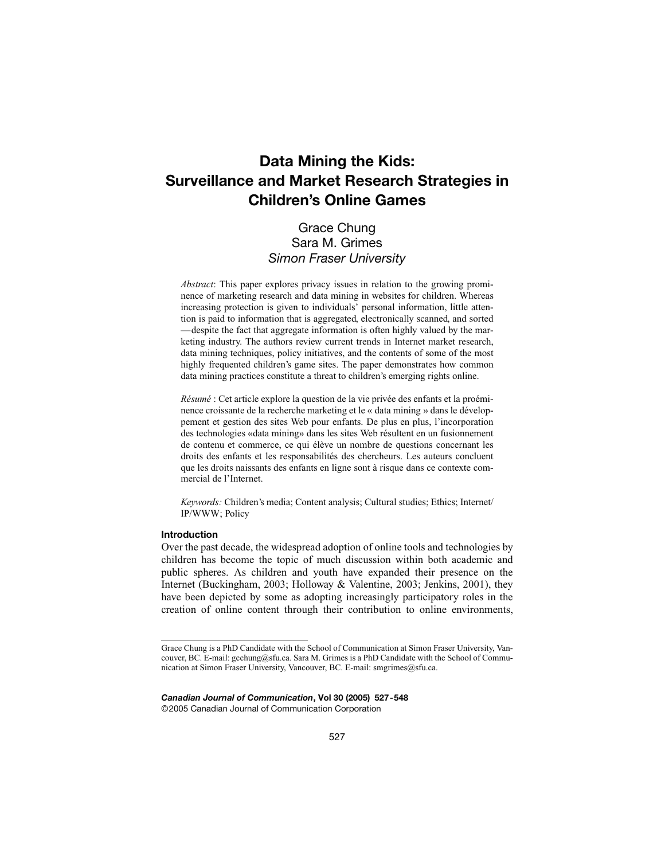# **Data Mining the Kids: Surveillance and Market Research Strategies in Children's Online Games**

# Grace Chung Sara M. Grimes *Simon Fraser University*

*Abstract*: This paper explores privacy issues in relation to the growing prominence of marketing research and data mining in websites for children. Whereas increasing protection is given to individuals' personal information, little attention is paid to information that is aggregated, electronically scanned, and sorted —despite the fact that aggregate information is often highly valued by the marketing industry. The authors review current trends in Internet market research, data mining techniques, policy initiatives, and the contents of some of the most highly frequented children's game sites. The paper demonstrates how common data mining practices constitute a threat to children's emerging rights online.

*Résumé* : Cet article explore la question de la vie privée des enfants et la proéminence croissante de la recherche marketing et le « data mining » dans le développement et gestion des sites Web pour enfants. De plus en plus, l'incorporation des technologies «data mining» dans les sites Web résultent en un fusionnement de contenu et commerce, ce qui élève un nombre de questions concernant les droits des enfants et les responsabilités des chercheurs. Les auteurs concluent que les droits naissants des enfants en ligne sont à risque dans ce contexte commercial de l'Internet.

*Keywords:* Children's media; Content analysis; Cultural studies; Ethics; Internet/ IP/WWW; Policy

# **Introduction**

Over the past decade, the widespread adoption of online tools and technologies by children has become the topic of much discussion within both academic and public spheres. As children and youth have expanded their presence on the Internet (Buckingham, 2003; Holloway & Valentine, 2003; Jenkins, 2001), they have been depicted by some as adopting increasingly participatory roles in the creation of online content through their contribution to online environments,

Grace Chung is a PhD Candidate with the School of Communication at Simon Fraser University, Vancouver, BC. E-mail: gcchung@sfu.ca. Sara M. Grimes is a PhD Candidate with the School of Communication at Simon Fraser University, Vancouver, BC. E-mail: smgrimes@sfu.ca.

*Canadian Journal of Communication***, Vol 30 (2005) 527-548** ©2005 Canadian Journal of Communication Corporation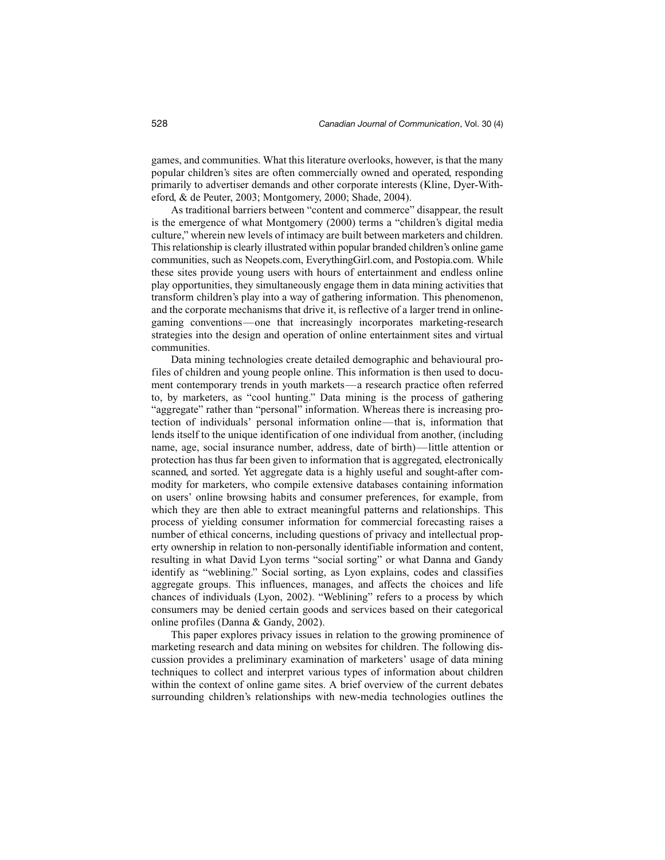games, and communities. What this literature overlooks, however, is that the many popular children's sites are often commercially owned and operated, responding primarily to advertiser demands and other corporate interests (Kline, Dyer-Witheford, & de Peuter, 2003; Montgomery, 2000; Shade, 2004).

As traditional barriers between "content and commerce" disappear, the result is the emergence of what Montgomery (2000) terms a "children's digital media culture," wherein new levels of intimacy are built between marketers and children. This relationship is clearly illustrated within popular branded children's online game communities, such as Neopets.com, EverythingGirl.com, and Postopia.com. While these sites provide young users with hours of entertainment and endless online play opportunities, they simultaneously engage them in data mining activities that transform children's play into a way of gathering information. This phenomenon, and the corporate mechanisms that drive it, is reflective of a larger trend in onlinegaming conventions—one that increasingly incorporates marketing-research strategies into the design and operation of online entertainment sites and virtual communities.

Data mining technologies create detailed demographic and behavioural profiles of children and young people online. This information is then used to document contemporary trends in youth markets—a research practice often referred to, by marketers, as "cool hunting." Data mining is the process of gathering "aggregate" rather than "personal" information. Whereas there is increasing protection of individuals' personal information online—that is, information that lends itself to the unique identification of one individual from another, (including name, age, social insurance number, address, date of birth)—little attention or protection has thus far been given to information that is aggregated, electronically scanned, and sorted. Yet aggregate data is a highly useful and sought-after commodity for marketers, who compile extensive databases containing information on users' online browsing habits and consumer preferences, for example, from which they are then able to extract meaningful patterns and relationships. This process of yielding consumer information for commercial forecasting raises a number of ethical concerns, including questions of privacy and intellectual property ownership in relation to non-personally identifiable information and content, resulting in what David Lyon terms "social sorting" or what Danna and Gandy identify as "weblining." Social sorting, as Lyon explains, codes and classifies aggregate groups. This influences, manages, and affects the choices and life chances of individuals (Lyon, 2002). "Weblining" refers to a process by which consumers may be denied certain goods and services based on their categorical online profiles (Danna & Gandy, 2002).

This paper explores privacy issues in relation to the growing prominence of marketing research and data mining on websites for children. The following discussion provides a preliminary examination of marketers' usage of data mining techniques to collect and interpret various types of information about children within the context of online game sites. A brief overview of the current debates surrounding children's relationships with new-media technologies outlines the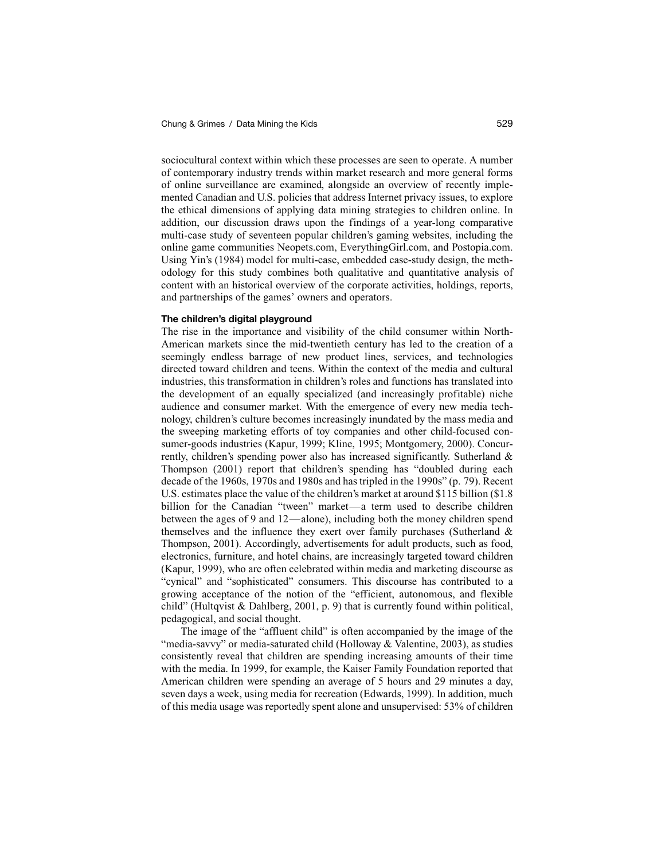sociocultural context within which these processes are seen to operate. A number of contemporary industry trends within market research and more general forms of online surveillance are examined, alongside an overview of recently implemented Canadian and U.S. policies that address Internet privacy issues, to explore the ethical dimensions of applying data mining strategies to children online. In addition, our discussion draws upon the findings of a year-long comparative multi-case study of seventeen popular children's gaming websites, including the online game communities Neopets.com, EverythingGirl.com, and Postopia.com. Using Yin's (1984) model for multi-case, embedded case-study design, the methodology for this study combines both qualitative and quantitative analysis of content with an historical overview of the corporate activities, holdings, reports, and partnerships of the games' owners and operators.

## **The children's digital playground**

The rise in the importance and visibility of the child consumer within North-American markets since the mid-twentieth century has led to the creation of a seemingly endless barrage of new product lines, services, and technologies directed toward children and teens. Within the context of the media and cultural industries, this transformation in children's roles and functions has translated into the development of an equally specialized (and increasingly profitable) niche audience and consumer market. With the emergence of every new media technology, children's culture becomes increasingly inundated by the mass media and the sweeping marketing efforts of toy companies and other child-focused consumer-goods industries (Kapur, 1999; Kline, 1995; Montgomery, 2000). Concurrently, children's spending power also has increased significantly. Sutherland & Thompson (2001) report that children's spending has "doubled during each decade of the 1960s, 1970s and 1980s and has tripled in the 1990s" (p. 79). Recent U.S. estimates place the value of the children's market at around \$115 billion (\$1.8 billion for the Canadian "tween" market—a term used to describe children between the ages of 9 and 12—alone), including both the money children spend themselves and the influence they exert over family purchases (Sutherland & Thompson, 2001). Accordingly, advertisements for adult products, such as food, electronics, furniture, and hotel chains, are increasingly targeted toward children (Kapur, 1999), who are often celebrated within media and marketing discourse as "cynical" and "sophisticated" consumers. This discourse has contributed to a growing acceptance of the notion of the "efficient, autonomous, and flexible child" (Hultqvist & Dahlberg, 2001, p. 9) that is currently found within political, pedagogical, and social thought.

The image of the "affluent child" is often accompanied by the image of the "media-savvy" or media-saturated child (Holloway & Valentine, 2003), as studies consistently reveal that children are spending increasing amounts of their time with the media. In 1999, for example, the Kaiser Family Foundation reported that American children were spending an average of 5 hours and 29 minutes a day, seven days a week, using media for recreation (Edwards, 1999). In addition, much of this media usage was reportedly spent alone and unsupervised: 53% of children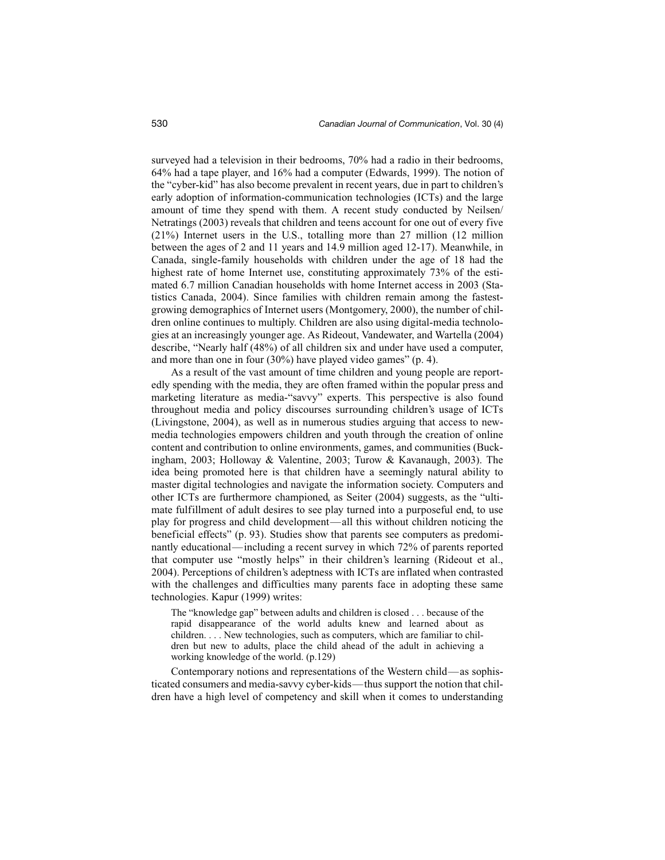surveyed had a television in their bedrooms, 70% had a radio in their bedrooms, 64% had a tape player, and 16% had a computer (Edwards, 1999). The notion of the "cyber-kid" has also become prevalent in recent years, due in part to children's early adoption of information-communication technologies (ICTs) and the large amount of time they spend with them. A recent study conducted by Neilsen/ Netratings (2003) reveals that children and teens account for one out of every five (21%) Internet users in the U.S., totalling more than 27 million (12 million between the ages of 2 and 11 years and 14.9 million aged 12-17). Meanwhile, in Canada, single-family households with children under the age of 18 had the highest rate of home Internet use, constituting approximately 73% of the estimated 6.7 million Canadian households with home Internet access in 2003 (Statistics Canada, 2004). Since families with children remain among the fastestgrowing demographics of Internet users (Montgomery, 2000), the number of children online continues to multiply. Children are also using digital-media technologies at an increasingly younger age. As Rideout, Vandewater, and Wartella (2004) describe, "Nearly half (48%) of all children six and under have used a computer, and more than one in four (30%) have played video games" (p. 4).

As a result of the vast amount of time children and young people are reportedly spending with the media, they are often framed within the popular press and marketing literature as media-"savvy" experts. This perspective is also found throughout media and policy discourses surrounding children's usage of ICTs (Livingstone, 2004), as well as in numerous studies arguing that access to newmedia technologies empowers children and youth through the creation of online content and contribution to online environments, games, and communities (Buckingham, 2003; Holloway & Valentine, 2003; Turow & Kavanaugh, 2003). The idea being promoted here is that children have a seemingly natural ability to master digital technologies and navigate the information society. Computers and other ICTs are furthermore championed, as Seiter (2004) suggests, as the "ultimate fulfillment of adult desires to see play turned into a purposeful end, to use play for progress and child development—all this without children noticing the beneficial effects" (p. 93). Studies show that parents see computers as predominantly educational—including a recent survey in which 72% of parents reported that computer use "mostly helps" in their children's learning (Rideout et al., 2004). Perceptions of children's adeptness with ICTs are inflated when contrasted with the challenges and difficulties many parents face in adopting these same technologies. Kapur (1999) writes:

The "knowledge gap" between adults and children is closed . . . because of the rapid disappearance of the world adults knew and learned about as children. . . . New technologies, such as computers, which are familiar to children but new to adults, place the child ahead of the adult in achieving a working knowledge of the world. (p.129)

Contemporary notions and representations of the Western child—as sophisticated consumers and media-savvy cyber-kids—thus support the notion that children have a high level of competency and skill when it comes to understanding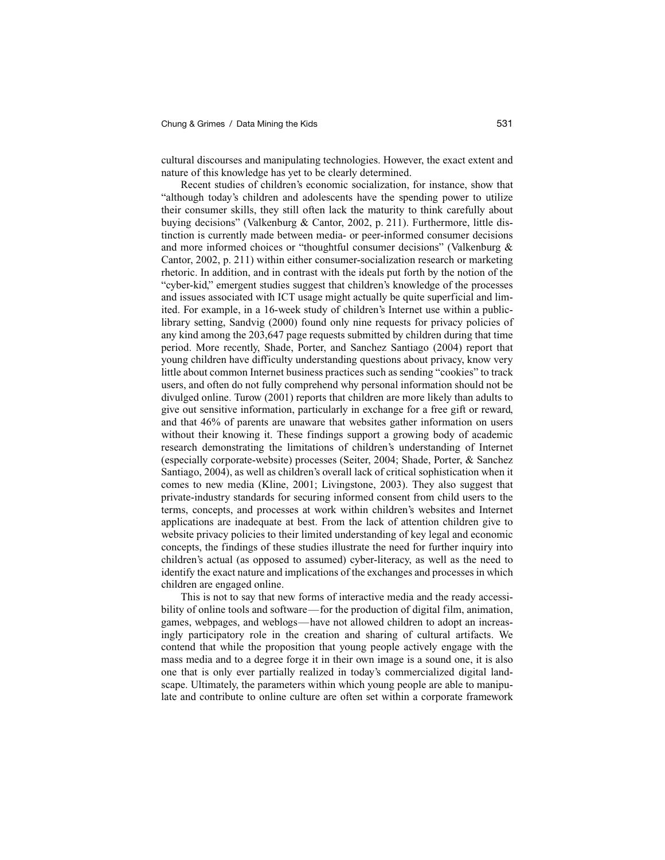cultural discourses and manipulating technologies. However, the exact extent and nature of this knowledge has yet to be clearly determined.

Recent studies of children's economic socialization, for instance, show that "although today's children and adolescents have the spending power to utilize their consumer skills, they still often lack the maturity to think carefully about buying decisions" (Valkenburg & Cantor, 2002, p. 211). Furthermore, little distinction is currently made between media- or peer-informed consumer decisions and more informed choices or "thoughtful consumer decisions" (Valkenburg & Cantor, 2002, p. 211) within either consumer-socialization research or marketing rhetoric. In addition, and in contrast with the ideals put forth by the notion of the "cyber-kid," emergent studies suggest that children's knowledge of the processes and issues associated with ICT usage might actually be quite superficial and limited. For example, in a 16-week study of children's Internet use within a publiclibrary setting, Sandvig (2000) found only nine requests for privacy policies of any kind among the 203,647 page requests submitted by children during that time period. More recently, Shade, Porter, and Sanchez Santiago (2004) report that young children have difficulty understanding questions about privacy, know very little about common Internet business practices such as sending "cookies" to track users, and often do not fully comprehend why personal information should not be divulged online. Turow (2001) reports that children are more likely than adults to give out sensitive information, particularly in exchange for a free gift or reward, and that 46% of parents are unaware that websites gather information on users without their knowing it. These findings support a growing body of academic research demonstrating the limitations of children's understanding of Internet (especially corporate-website) processes (Seiter, 2004; Shade, Porter, & Sanchez Santiago, 2004), as well as children's overall lack of critical sophistication when it comes to new media (Kline, 2001; Livingstone, 2003). They also suggest that private-industry standards for securing informed consent from child users to the terms, concepts, and processes at work within children's websites and Internet applications are inadequate at best. From the lack of attention children give to website privacy policies to their limited understanding of key legal and economic concepts, the findings of these studies illustrate the need for further inquiry into children's actual (as opposed to assumed) cyber-literacy, as well as the need to identify the exact nature and implications of the exchanges and processes in which children are engaged online.

This is not to say that new forms of interactive media and the ready accessibility of online tools and software—for the production of digital film, animation, games, webpages, and weblogs—have not allowed children to adopt an increasingly participatory role in the creation and sharing of cultural artifacts. We contend that while the proposition that young people actively engage with the mass media and to a degree forge it in their own image is a sound one, it is also one that is only ever partially realized in today's commercialized digital landscape. Ultimately, the parameters within which young people are able to manipulate and contribute to online culture are often set within a corporate framework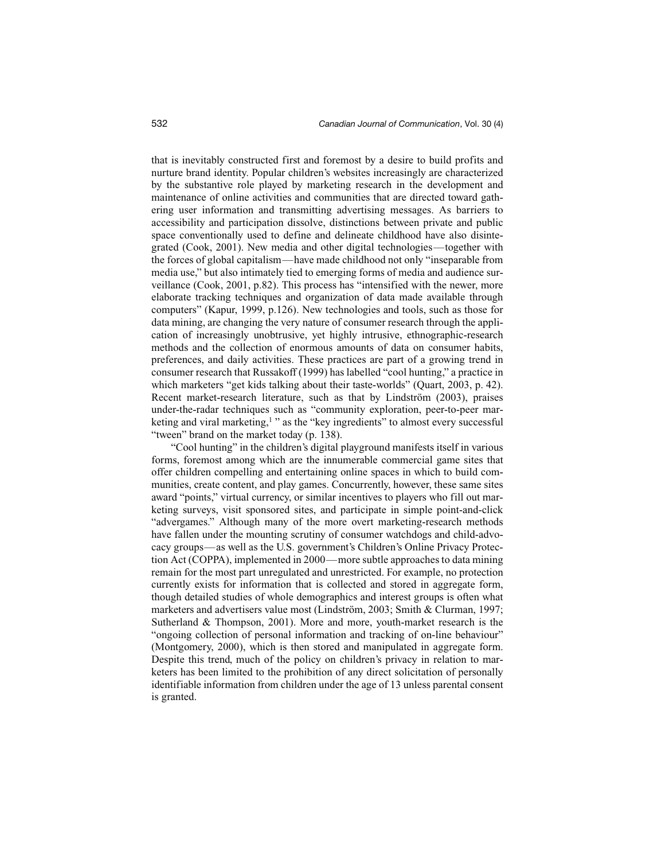that is inevitably constructed first and foremost by a desire to build profits and nurture brand identity. Popular children's websites increasingly are characterized by the substantive role played by marketing research in the development and maintenance of online activities and communities that are directed toward gathering user information and transmitting advertising messages. As barriers to accessibility and participation dissolve, distinctions between private and public space conventionally used to define and delineate childhood have also disintegrated (Cook, 2001). New media and other digital technologies—together with the forces of global capitalism—have made childhood not only "inseparable from media use," but also intimately tied to emerging forms of media and audience surveillance (Cook, 2001, p.82). This process has "intensified with the newer, more elaborate tracking techniques and organization of data made available through computers" (Kapur, 1999, p.126). New technologies and tools, such as those for data mining, are changing the very nature of consumer research through the application of increasingly unobtrusive, yet highly intrusive, ethnographic-research methods and the collection of enormous amounts of data on consumer habits, preferences, and daily activities. These practices are part of a growing trend in consumer research that Russakoff (1999) has labelled "cool hunting," a practice in which marketers "get kids talking about their taste-worlds" (Quart, 2003, p. 42). Recent market-research literature, such as that by Lindström (2003), praises under-the-radar techniques such as "community exploration, peer-to-peer marketing and viral marketing,<sup>1</sup> " as the "key ingredients" to almost every successful "tween" brand on the market today (p. 138).

"Cool hunting" in the children's digital playground manifests itself in various forms, foremost among which are the innumerable commercial game sites that offer children compelling and entertaining online spaces in which to build communities, create content, and play games. Concurrently, however, these same sites award "points," virtual currency, or similar incentives to players who fill out marketing surveys, visit sponsored sites, and participate in simple point-and-click "advergames." Although many of the more overt marketing-research methods have fallen under the mounting scrutiny of consumer watchdogs and child-advocacy groups—as well as the U.S. government's Children's Online Privacy Protection Act (COPPA), implemented in 2000—more subtle approaches to data mining remain for the most part unregulated and unrestricted. For example, no protection currently exists for information that is collected and stored in aggregate form, though detailed studies of whole demographics and interest groups is often what marketers and advertisers value most (Lindström, 2003; Smith & Clurman, 1997; Sutherland & Thompson, 2001). More and more, youth-market research is the "ongoing collection of personal information and tracking of on-line behaviour" (Montgomery, 2000), which is then stored and manipulated in aggregate form. Despite this trend, much of the policy on children's privacy in relation to marketers has been limited to the prohibition of any direct solicitation of personally identifiable information from children under the age of 13 unless parental consent is granted.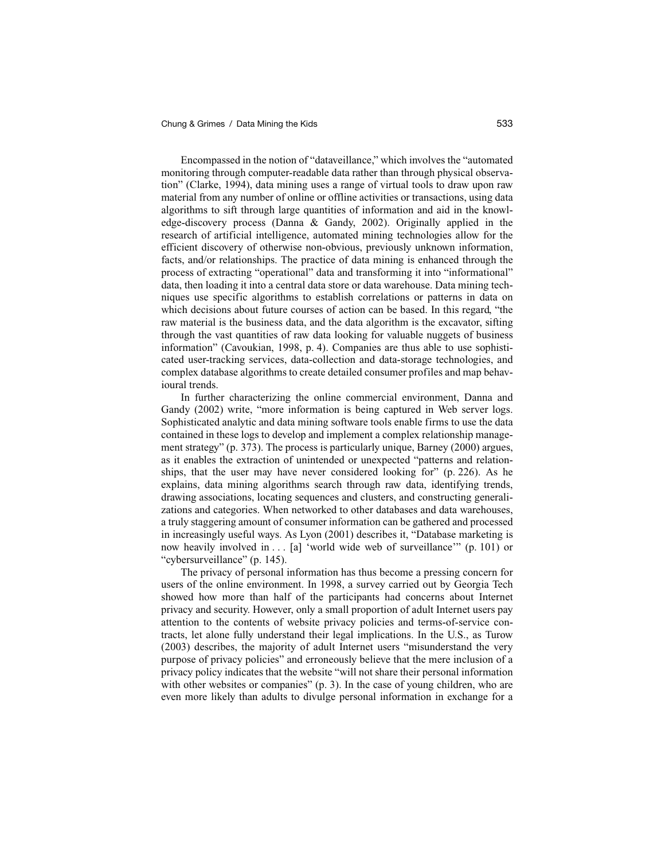Encompassed in the notion of "dataveillance," which involves the "automated monitoring through computer-readable data rather than through physical observation" (Clarke, 1994), data mining uses a range of virtual tools to draw upon raw material from any number of online or offline activities or transactions, using data algorithms to sift through large quantities of information and aid in the knowledge-discovery process (Danna & Gandy, 2002). Originally applied in the research of artificial intelligence, automated mining technologies allow for the efficient discovery of otherwise non-obvious, previously unknown information, facts, and/or relationships. The practice of data mining is enhanced through the process of extracting "operational" data and transforming it into "informational" data, then loading it into a central data store or data warehouse. Data mining techniques use specific algorithms to establish correlations or patterns in data on which decisions about future courses of action can be based. In this regard, "the raw material is the business data, and the data algorithm is the excavator, sifting through the vast quantities of raw data looking for valuable nuggets of business information" (Cavoukian, 1998, p. 4). Companies are thus able to use sophisticated user-tracking services, data-collection and data-storage technologies, and complex database algorithms to create detailed consumer profiles and map behavioural trends.

In further characterizing the online commercial environment, Danna and Gandy (2002) write, "more information is being captured in Web server logs. Sophisticated analytic and data mining software tools enable firms to use the data contained in these logs to develop and implement a complex relationship management strategy" (p. 373). The process is particularly unique, Barney (2000) argues, as it enables the extraction of unintended or unexpected "patterns and relationships, that the user may have never considered looking for" (p. 226). As he explains, data mining algorithms search through raw data, identifying trends, drawing associations, locating sequences and clusters, and constructing generalizations and categories. When networked to other databases and data warehouses, a truly staggering amount of consumer information can be gathered and processed in increasingly useful ways. As Lyon (2001) describes it, "Database marketing is now heavily involved in . . . [a] 'world wide web of surveillance'" (p. 101) or "cybersurveillance" (p. 145).

The privacy of personal information has thus become a pressing concern for users of the online environment. In 1998, a survey carried out by Georgia Tech showed how more than half of the participants had concerns about Internet privacy and security. However, only a small proportion of adult Internet users pay attention to the contents of website privacy policies and terms-of-service contracts, let alone fully understand their legal implications. In the U.S., as Turow (2003) describes, the majority of adult Internet users "misunderstand the very purpose of privacy policies" and erroneously believe that the mere inclusion of a privacy policy indicates that the website "will not share their personal information with other websites or companies" (p. 3). In the case of young children, who are even more likely than adults to divulge personal information in exchange for a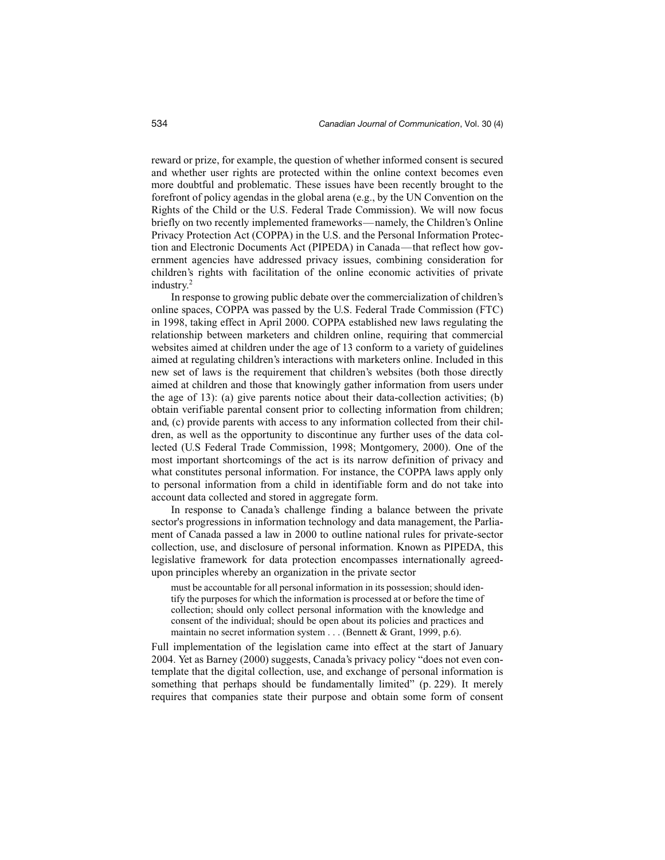reward or prize, for example, the question of whether informed consent is secured and whether user rights are protected within the online context becomes even more doubtful and problematic. These issues have been recently brought to the forefront of policy agendas in the global arena (e.g., by the UN Convention on the Rights of the Child or the U.S. Federal Trade Commission). We will now focus briefly on two recently implemented frameworks—namely, the Children's Online Privacy Protection Act (COPPA) in the U.S. and the Personal Information Protection and Electronic Documents Act (PIPEDA) in Canada—that reflect how government agencies have addressed privacy issues, combining consideration for children's rights with facilitation of the online economic activities of private industry.2

In response to growing public debate over the commercialization of children's online spaces, COPPA was passed by the U.S. Federal Trade Commission (FTC) in 1998, taking effect in April 2000. COPPA established new laws regulating the relationship between marketers and children online, requiring that commercial websites aimed at children under the age of 13 conform to a variety of guidelines aimed at regulating children's interactions with marketers online. Included in this new set of laws is the requirement that children's websites (both those directly aimed at children and those that knowingly gather information from users under the age of 13): (a) give parents notice about their data-collection activities; (b) obtain verifiable parental consent prior to collecting information from children; and, (c) provide parents with access to any information collected from their children, as well as the opportunity to discontinue any further uses of the data collected (U.S Federal Trade Commission, 1998; Montgomery, 2000). One of the most important shortcomings of the act is its narrow definition of privacy and what constitutes personal information. For instance, the COPPA laws apply only to personal information from a child in identifiable form and do not take into account data collected and stored in aggregate form.

In response to Canada's challenge finding a balance between the private sector's progressions in information technology and data management, the Parliament of Canada passed a law in 2000 to outline national rules for private-sector collection, use, and disclosure of personal information. Known as PIPEDA, this legislative framework for data protection encompasses internationally agreedupon principles whereby an organization in the private sector

must be accountable for all personal information in its possession; should identify the purposes for which the information is processed at or before the time of collection; should only collect personal information with the knowledge and consent of the individual; should be open about its policies and practices and maintain no secret information system . . . (Bennett & Grant, 1999, p.6).

Full implementation of the legislation came into effect at the start of January 2004. Yet as Barney (2000) suggests, Canada's privacy policy "does not even contemplate that the digital collection, use, and exchange of personal information is something that perhaps should be fundamentally limited" (p. 229). It merely requires that companies state their purpose and obtain some form of consent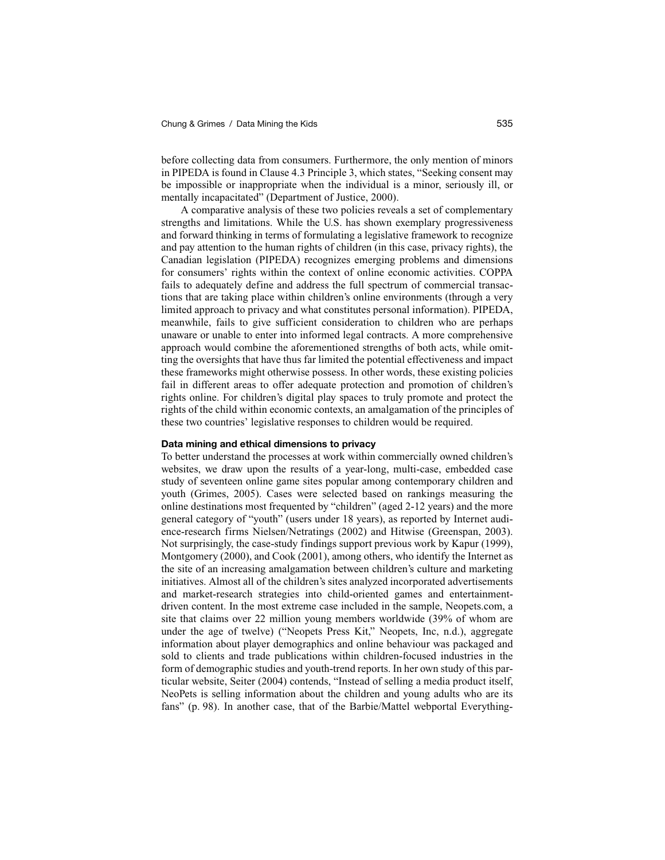before collecting data from consumers. Furthermore, the only mention of minors in PIPEDA is found in Clause 4.3 Principle 3, which states, "Seeking consent may be impossible or inappropriate when the individual is a minor, seriously ill, or mentally incapacitated" (Department of Justice, 2000).

A comparative analysis of these two policies reveals a set of complementary strengths and limitations. While the U.S. has shown exemplary progressiveness and forward thinking in terms of formulating a legislative framework to recognize and pay attention to the human rights of children (in this case, privacy rights), the Canadian legislation (PIPEDA) recognizes emerging problems and dimensions for consumers' rights within the context of online economic activities. COPPA fails to adequately define and address the full spectrum of commercial transactions that are taking place within children's online environments (through a very limited approach to privacy and what constitutes personal information). PIPEDA, meanwhile, fails to give sufficient consideration to children who are perhaps unaware or unable to enter into informed legal contracts. A more comprehensive approach would combine the aforementioned strengths of both acts, while omitting the oversights that have thus far limited the potential effectiveness and impact these frameworks might otherwise possess. In other words, these existing policies fail in different areas to offer adequate protection and promotion of children's rights online. For children's digital play spaces to truly promote and protect the rights of the child within economic contexts, an amalgamation of the principles of these two countries' legislative responses to children would be required.

#### **Data mining and ethical dimensions to privacy**

To better understand the processes at work within commercially owned children's websites, we draw upon the results of a year-long, multi-case, embedded case study of seventeen online game sites popular among contemporary children and youth (Grimes, 2005). Cases were selected based on rankings measuring the online destinations most frequented by "children" (aged 2-12 years) and the more general category of "youth" (users under 18 years), as reported by Internet audience-research firms Nielsen/Netratings (2002) and Hitwise (Greenspan, 2003). Not surprisingly, the case-study findings support previous work by Kapur (1999), Montgomery (2000), and Cook (2001), among others, who identify the Internet as the site of an increasing amalgamation between children's culture and marketing initiatives. Almost all of the children's sites analyzed incorporated advertisements and market-research strategies into child-oriented games and entertainmentdriven content. In the most extreme case included in the sample, Neopets.com, a site that claims over 22 million young members worldwide (39% of whom are under the age of twelve) ("Neopets Press Kit," Neopets, Inc, n.d.), aggregate information about player demographics and online behaviour was packaged and sold to clients and trade publications within children-focused industries in the form of demographic studies and youth-trend reports. In her own study of this particular website, Seiter (2004) contends, "Instead of selling a media product itself, NeoPets is selling information about the children and young adults who are its fans" (p. 98). In another case, that of the Barbie/Mattel webportal Everything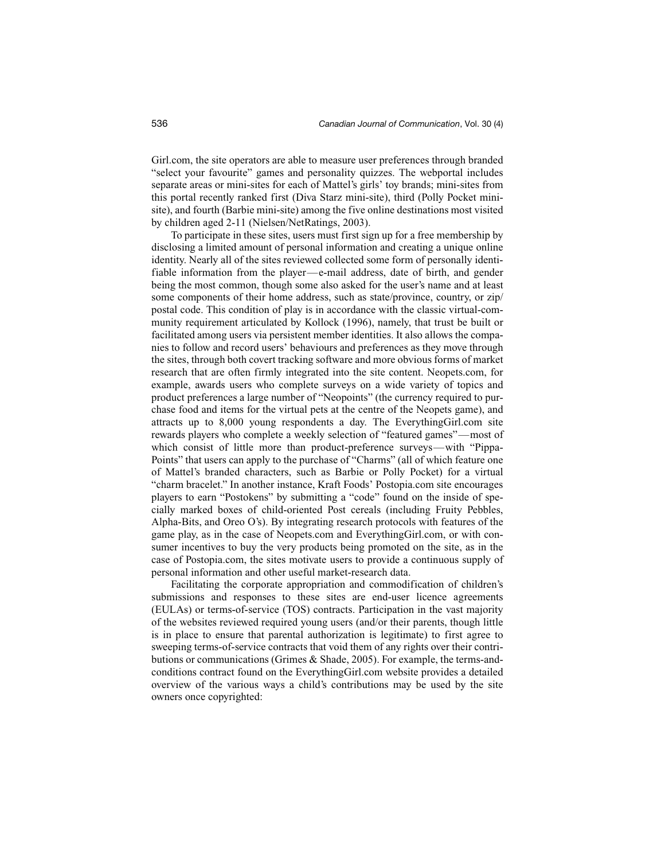Girl.com, the site operators are able to measure user preferences through branded "select your favourite" games and personality quizzes. The webportal includes separate areas or mini-sites for each of Mattel's girls' toy brands; mini-sites from this portal recently ranked first (Diva Starz mini-site), third (Polly Pocket minisite), and fourth (Barbie mini-site) among the five online destinations most visited by children aged 2-11 (Nielsen/NetRatings, 2003).

To participate in these sites, users must first sign up for a free membership by disclosing a limited amount of personal information and creating a unique online identity. Nearly all of the sites reviewed collected some form of personally identifiable information from the player—e-mail address, date of birth, and gender being the most common, though some also asked for the user's name and at least some components of their home address, such as state/province, country, or zip/ postal code. This condition of play is in accordance with the classic virtual-community requirement articulated by Kollock (1996), namely, that trust be built or facilitated among users via persistent member identities. It also allows the companies to follow and record users' behaviours and preferences as they move through the sites, through both covert tracking software and more obvious forms of market research that are often firmly integrated into the site content. Neopets.com, for example, awards users who complete surveys on a wide variety of topics and product preferences a large number of "Neopoints" (the currency required to purchase food and items for the virtual pets at the centre of the Neopets game), and attracts up to 8,000 young respondents a day. The EverythingGirl.com site rewards players who complete a weekly selection of "featured games"—most of which consist of little more than product-preference surveys—with "Pippa-Points" that users can apply to the purchase of "Charms" (all of which feature one of Mattel's branded characters, such as Barbie or Polly Pocket) for a virtual "charm bracelet." In another instance, Kraft Foods' Postopia.com site encourages players to earn "Postokens" by submitting a "code" found on the inside of specially marked boxes of child-oriented Post cereals (including Fruity Pebbles, Alpha-Bits, and Oreo O's). By integrating research protocols with features of the game play, as in the case of Neopets.com and EverythingGirl.com, or with consumer incentives to buy the very products being promoted on the site, as in the case of Postopia.com, the sites motivate users to provide a continuous supply of personal information and other useful market-research data.

Facilitating the corporate appropriation and commodification of children's submissions and responses to these sites are end-user licence agreements (EULAs) or terms-of-service (TOS) contracts. Participation in the vast majority of the websites reviewed required young users (and/or their parents, though little is in place to ensure that parental authorization is legitimate) to first agree to sweeping terms-of-service contracts that void them of any rights over their contributions or communications (Grimes & Shade, 2005). For example, the terms-andconditions contract found on the EverythingGirl.com website provides a detailed overview of the various ways a child's contributions may be used by the site owners once copyrighted: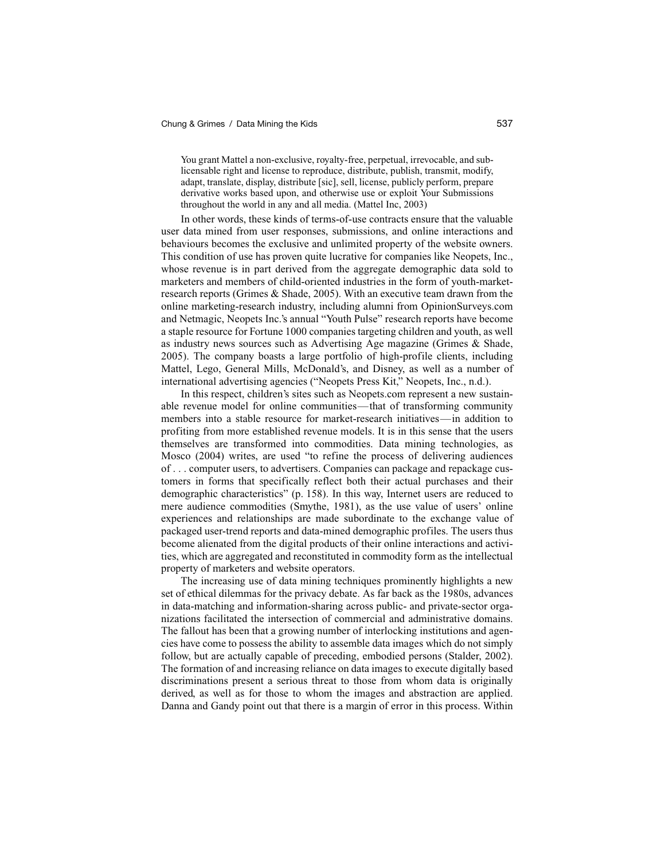## Chung & Grimes / Data Mining the Kids 537

You grant Mattel a non-exclusive, royalty-free, perpetual, irrevocable, and sublicensable right and license to reproduce, distribute, publish, transmit, modify, adapt, translate, display, distribute [sic], sell, license, publicly perform, prepare derivative works based upon, and otherwise use or exploit Your Submissions throughout the world in any and all media. (Mattel Inc, 2003)

In other words, these kinds of terms-of-use contracts ensure that the valuable user data mined from user responses, submissions, and online interactions and behaviours becomes the exclusive and unlimited property of the website owners. This condition of use has proven quite lucrative for companies like Neopets, Inc., whose revenue is in part derived from the aggregate demographic data sold to marketers and members of child-oriented industries in the form of youth-marketresearch reports (Grimes & Shade, 2005). With an executive team drawn from the online marketing-research industry, including alumni from OpinionSurveys.com and Netmagic, Neopets Inc.'s annual "Youth Pulse" research reports have become a staple resource for Fortune 1000 companies targeting children and youth, as well as industry news sources such as Advertising Age magazine (Grimes & Shade, 2005). The company boasts a large portfolio of high-profile clients, including Mattel, Lego, General Mills, McDonald's, and Disney, as well as a number of international advertising agencies ("Neopets Press Kit," Neopets, Inc., n.d.).

In this respect, children's sites such as Neopets.com represent a new sustainable revenue model for online communities—that of transforming community members into a stable resource for market-research initiatives—in addition to profiting from more established revenue models. It is in this sense that the users themselves are transformed into commodities. Data mining technologies, as Mosco (2004) writes, are used "to refine the process of delivering audiences of . . . computer users, to advertisers. Companies can package and repackage customers in forms that specifically reflect both their actual purchases and their demographic characteristics" (p. 158). In this way, Internet users are reduced to mere audience commodities (Smythe, 1981), as the use value of users' online experiences and relationships are made subordinate to the exchange value of packaged user-trend reports and data-mined demographic profiles. The users thus become alienated from the digital products of their online interactions and activities, which are aggregated and reconstituted in commodity form as the intellectual property of marketers and website operators.

The increasing use of data mining techniques prominently highlights a new set of ethical dilemmas for the privacy debate. As far back as the 1980s, advances in data-matching and information-sharing across public- and private-sector organizations facilitated the intersection of commercial and administrative domains. The fallout has been that a growing number of interlocking institutions and agencies have come to possess the ability to assemble data images which do not simply follow, but are actually capable of preceding, embodied persons (Stalder, 2002). The formation of and increasing reliance on data images to execute digitally based discriminations present a serious threat to those from whom data is originally derived, as well as for those to whom the images and abstraction are applied. Danna and Gandy point out that there is a margin of error in this process. Within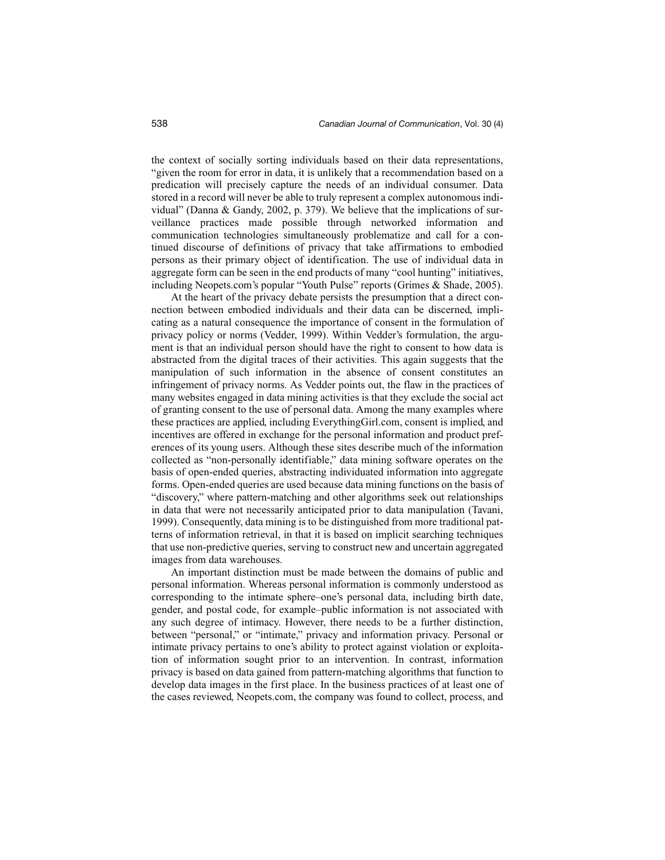the context of socially sorting individuals based on their data representations, "given the room for error in data, it is unlikely that a recommendation based on a predication will precisely capture the needs of an individual consumer. Data stored in a record will never be able to truly represent a complex autonomous individual" (Danna & Gandy, 2002, p. 379). We believe that the implications of surveillance practices made possible through networked information and communication technologies simultaneously problematize and call for a continued discourse of definitions of privacy that take affirmations to embodied persons as their primary object of identification. The use of individual data in aggregate form can be seen in the end products of many "cool hunting" initiatives, including Neopets.com's popular "Youth Pulse" reports (Grimes & Shade, 2005).

At the heart of the privacy debate persists the presumption that a direct connection between embodied individuals and their data can be discerned, implicating as a natural consequence the importance of consent in the formulation of privacy policy or norms (Vedder, 1999). Within Vedder's formulation, the argument is that an individual person should have the right to consent to how data is abstracted from the digital traces of their activities. This again suggests that the manipulation of such information in the absence of consent constitutes an infringement of privacy norms. As Vedder points out, the flaw in the practices of many websites engaged in data mining activities is that they exclude the social act of granting consent to the use of personal data. Among the many examples where these practices are applied, including EverythingGirl.com, consent is implied, and incentives are offered in exchange for the personal information and product preferences of its young users. Although these sites describe much of the information collected as "non-personally identifiable," data mining software operates on the basis of open-ended queries, abstracting individuated information into aggregate forms. Open-ended queries are used because data mining functions on the basis of "discovery," where pattern-matching and other algorithms seek out relationships in data that were not necessarily anticipated prior to data manipulation (Tavani, 1999). Consequently, data mining is to be distinguished from more traditional patterns of information retrieval, in that it is based on implicit searching techniques that use non-predictive queries, serving to construct new and uncertain aggregated images from data warehouses.

An important distinction must be made between the domains of public and personal information. Whereas personal information is commonly understood as corresponding to the intimate sphere–one's personal data, including birth date, gender, and postal code, for example–public information is not associated with any such degree of intimacy. However, there needs to be a further distinction, between "personal," or "intimate," privacy and information privacy. Personal or intimate privacy pertains to one's ability to protect against violation or exploitation of information sought prior to an intervention. In contrast, information privacy is based on data gained from pattern-matching algorithms that function to develop data images in the first place. In the business practices of at least one of the cases reviewed, Neopets.com, the company was found to collect, process, and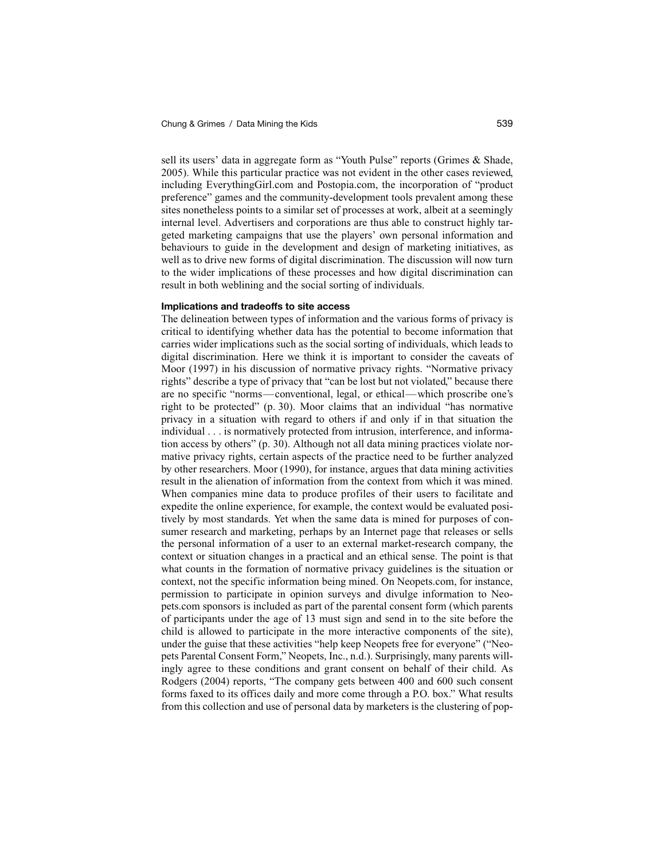sell its users' data in aggregate form as "Youth Pulse" reports (Grimes & Shade, 2005). While this particular practice was not evident in the other cases reviewed, including EverythingGirl.com and Postopia.com, the incorporation of "product preference" games and the community-development tools prevalent among these sites nonetheless points to a similar set of processes at work, albeit at a seemingly internal level. Advertisers and corporations are thus able to construct highly targeted marketing campaigns that use the players' own personal information and behaviours to guide in the development and design of marketing initiatives, as well as to drive new forms of digital discrimination. The discussion will now turn to the wider implications of these processes and how digital discrimination can result in both weblining and the social sorting of individuals.

#### **Implications and tradeoffs to site access**

The delineation between types of information and the various forms of privacy is critical to identifying whether data has the potential to become information that carries wider implications such as the social sorting of individuals, which leads to digital discrimination. Here we think it is important to consider the caveats of Moor (1997) in his discussion of normative privacy rights. "Normative privacy rights" describe a type of privacy that "can be lost but not violated," because there are no specific "norms—conventional, legal, or ethical—which proscribe one's right to be protected" (p. 30). Moor claims that an individual "has normative privacy in a situation with regard to others if and only if in that situation the individual . . . is normatively protected from intrusion, interference, and information access by others" (p. 30). Although not all data mining practices violate normative privacy rights, certain aspects of the practice need to be further analyzed by other researchers. Moor (1990), for instance, argues that data mining activities result in the alienation of information from the context from which it was mined. When companies mine data to produce profiles of their users to facilitate and expedite the online experience, for example, the context would be evaluated positively by most standards. Yet when the same data is mined for purposes of consumer research and marketing, perhaps by an Internet page that releases or sells the personal information of a user to an external market-research company, the context or situation changes in a practical and an ethical sense. The point is that what counts in the formation of normative privacy guidelines is the situation or context, not the specific information being mined. On Neopets.com, for instance, permission to participate in opinion surveys and divulge information to Neopets.com sponsors is included as part of the parental consent form (which parents of participants under the age of 13 must sign and send in to the site before the child is allowed to participate in the more interactive components of the site), under the guise that these activities "help keep Neopets free for everyone" ("Neopets Parental Consent Form," Neopets, Inc., n.d.). Surprisingly, many parents willingly agree to these conditions and grant consent on behalf of their child. As Rodgers (2004) reports, "The company gets between 400 and 600 such consent forms faxed to its offices daily and more come through a P.O. box." What results from this collection and use of personal data by marketers is the clustering of pop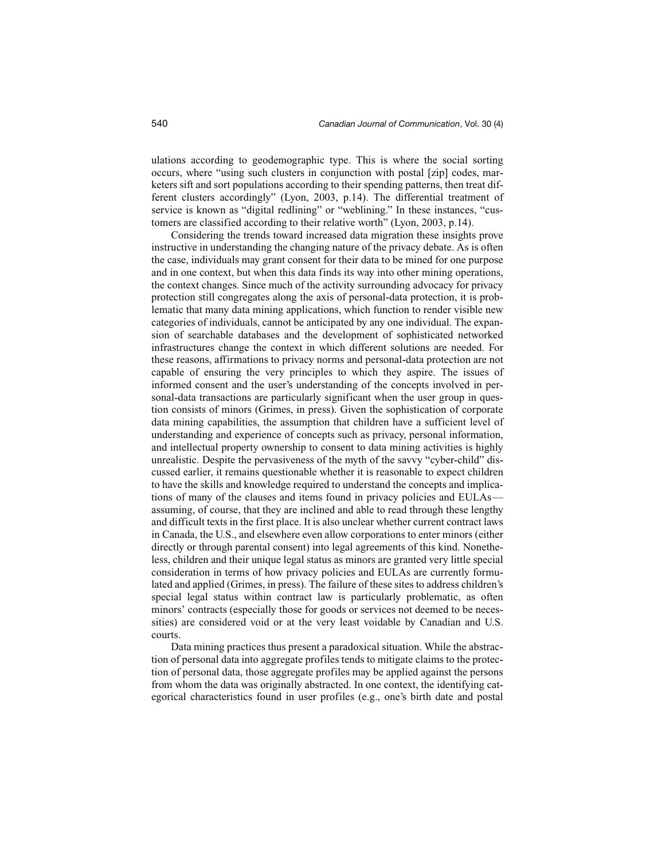ulations according to geodemographic type. This is where the social sorting occurs, where "using such clusters in conjunction with postal [zip] codes, marketers sift and sort populations according to their spending patterns, then treat different clusters accordingly" (Lyon, 2003, p.14). The differential treatment of service is known as "digital redlining" or "weblining." In these instances, "customers are classified according to their relative worth" (Lyon, 2003, p.14).

Considering the trends toward increased data migration these insights prove instructive in understanding the changing nature of the privacy debate. As is often the case, individuals may grant consent for their data to be mined for one purpose and in one context, but when this data finds its way into other mining operations, the context changes. Since much of the activity surrounding advocacy for privacy protection still congregates along the axis of personal-data protection, it is problematic that many data mining applications, which function to render visible new categories of individuals, cannot be anticipated by any one individual. The expansion of searchable databases and the development of sophisticated networked infrastructures change the context in which different solutions are needed. For these reasons, affirmations to privacy norms and personal-data protection are not capable of ensuring the very principles to which they aspire. The issues of informed consent and the user's understanding of the concepts involved in personal-data transactions are particularly significant when the user group in question consists of minors (Grimes, in press). Given the sophistication of corporate data mining capabilities, the assumption that children have a sufficient level of understanding and experience of concepts such as privacy, personal information, and intellectual property ownership to consent to data mining activities is highly unrealistic. Despite the pervasiveness of the myth of the savvy "cyber-child" discussed earlier, it remains questionable whether it is reasonable to expect children to have the skills and knowledge required to understand the concepts and implications of many of the clauses and items found in privacy policies and EULAs assuming, of course, that they are inclined and able to read through these lengthy and difficult texts in the first place. It is also unclear whether current contract laws in Canada, the U.S., and elsewhere even allow corporations to enter minors (either directly or through parental consent) into legal agreements of this kind. Nonetheless, children and their unique legal status as minors are granted very little special consideration in terms of how privacy policies and EULAs are currently formulated and applied (Grimes, in press). The failure of these sites to address children's special legal status within contract law is particularly problematic, as often minors' contracts (especially those for goods or services not deemed to be necessities) are considered void or at the very least voidable by Canadian and U.S. courts.

Data mining practices thus present a paradoxical situation. While the abstraction of personal data into aggregate profiles tends to mitigate claims to the protection of personal data, those aggregate profiles may be applied against the persons from whom the data was originally abstracted. In one context, the identifying categorical characteristics found in user profiles (e.g., one's birth date and postal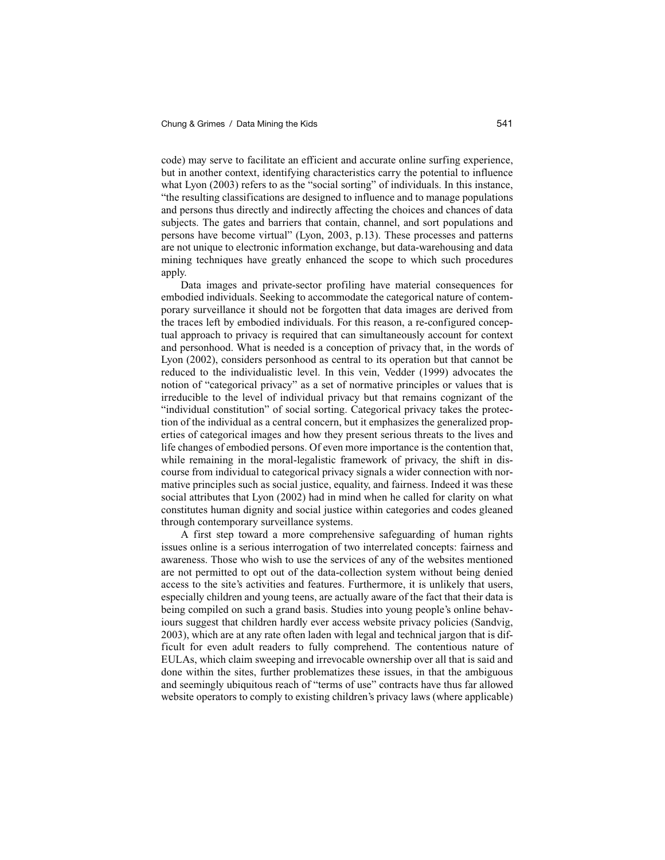code) may serve to facilitate an efficient and accurate online surfing experience, but in another context, identifying characteristics carry the potential to influence what Lyon (2003) refers to as the "social sorting" of individuals. In this instance, "the resulting classifications are designed to influence and to manage populations and persons thus directly and indirectly affecting the choices and chances of data subjects. The gates and barriers that contain, channel, and sort populations and persons have become virtual" (Lyon, 2003, p.13). These processes and patterns are not unique to electronic information exchange, but data-warehousing and data mining techniques have greatly enhanced the scope to which such procedures apply.

Data images and private-sector profiling have material consequences for embodied individuals. Seeking to accommodate the categorical nature of contemporary surveillance it should not be forgotten that data images are derived from the traces left by embodied individuals. For this reason, a re-configured conceptual approach to privacy is required that can simultaneously account for context and personhood. What is needed is a conception of privacy that, in the words of Lyon (2002), considers personhood as central to its operation but that cannot be reduced to the individualistic level. In this vein, Vedder (1999) advocates the notion of "categorical privacy" as a set of normative principles or values that is irreducible to the level of individual privacy but that remains cognizant of the "individual constitution" of social sorting. Categorical privacy takes the protection of the individual as a central concern, but it emphasizes the generalized properties of categorical images and how they present serious threats to the lives and life changes of embodied persons. Of even more importance is the contention that, while remaining in the moral-legalistic framework of privacy, the shift in discourse from individual to categorical privacy signals a wider connection with normative principles such as social justice, equality, and fairness. Indeed it was these social attributes that Lyon (2002) had in mind when he called for clarity on what constitutes human dignity and social justice within categories and codes gleaned through contemporary surveillance systems.

A first step toward a more comprehensive safeguarding of human rights issues online is a serious interrogation of two interrelated concepts: fairness and awareness. Those who wish to use the services of any of the websites mentioned are not permitted to opt out of the data-collection system without being denied access to the site's activities and features. Furthermore, it is unlikely that users, especially children and young teens, are actually aware of the fact that their data is being compiled on such a grand basis. Studies into young people's online behaviours suggest that children hardly ever access website privacy policies (Sandvig, 2003), which are at any rate often laden with legal and technical jargon that is difficult for even adult readers to fully comprehend. The contentious nature of EULAs, which claim sweeping and irrevocable ownership over all that is said and done within the sites, further problematizes these issues, in that the ambiguous and seemingly ubiquitous reach of "terms of use" contracts have thus far allowed website operators to comply to existing children's privacy laws (where applicable)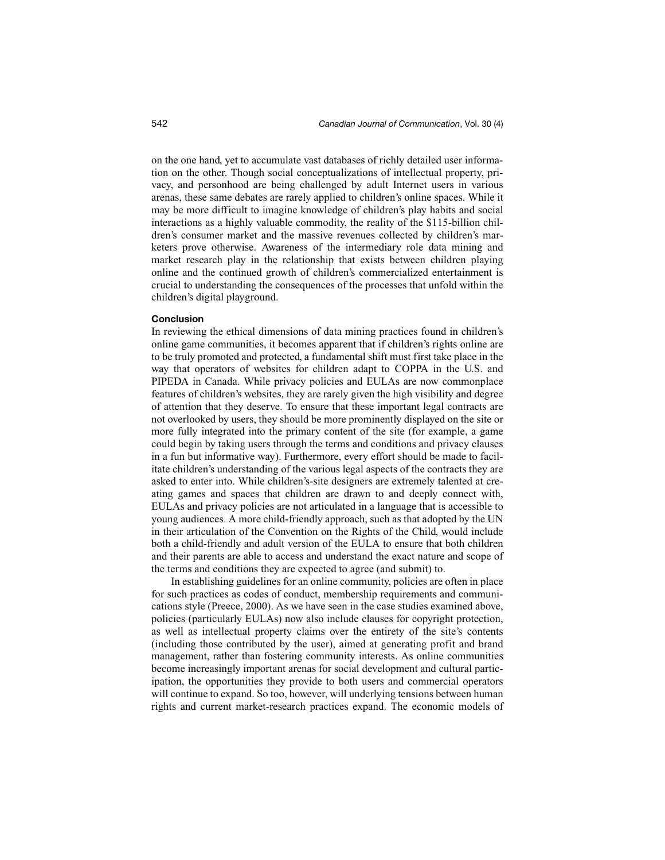on the one hand, yet to accumulate vast databases of richly detailed user information on the other. Though social conceptualizations of intellectual property, privacy, and personhood are being challenged by adult Internet users in various arenas, these same debates are rarely applied to children's online spaces. While it may be more difficult to imagine knowledge of children's play habits and social interactions as a highly valuable commodity, the reality of the \$115-billion children's consumer market and the massive revenues collected by children's marketers prove otherwise. Awareness of the intermediary role data mining and market research play in the relationship that exists between children playing online and the continued growth of children's commercialized entertainment is crucial to understanding the consequences of the processes that unfold within the children's digital playground.

## **Conclusion**

In reviewing the ethical dimensions of data mining practices found in children's online game communities, it becomes apparent that if children's rights online are to be truly promoted and protected, a fundamental shift must first take place in the way that operators of websites for children adapt to COPPA in the U.S. and PIPEDA in Canada. While privacy policies and EULAs are now commonplace features of children's websites, they are rarely given the high visibility and degree of attention that they deserve. To ensure that these important legal contracts are not overlooked by users, they should be more prominently displayed on the site or more fully integrated into the primary content of the site (for example, a game could begin by taking users through the terms and conditions and privacy clauses in a fun but informative way). Furthermore, every effort should be made to facilitate children's understanding of the various legal aspects of the contracts they are asked to enter into. While children's-site designers are extremely talented at creating games and spaces that children are drawn to and deeply connect with, EULAs and privacy policies are not articulated in a language that is accessible to young audiences. A more child-friendly approach, such as that adopted by the UN in their articulation of the Convention on the Rights of the Child, would include both a child-friendly and adult version of the EULA to ensure that both children and their parents are able to access and understand the exact nature and scope of the terms and conditions they are expected to agree (and submit) to.

In establishing guidelines for an online community, policies are often in place for such practices as codes of conduct, membership requirements and communications style (Preece, 2000). As we have seen in the case studies examined above, policies (particularly EULAs) now also include clauses for copyright protection, as well as intellectual property claims over the entirety of the site's contents (including those contributed by the user), aimed at generating profit and brand management, rather than fostering community interests. As online communities become increasingly important arenas for social development and cultural participation, the opportunities they provide to both users and commercial operators will continue to expand. So too, however, will underlying tensions between human rights and current market-research practices expand. The economic models of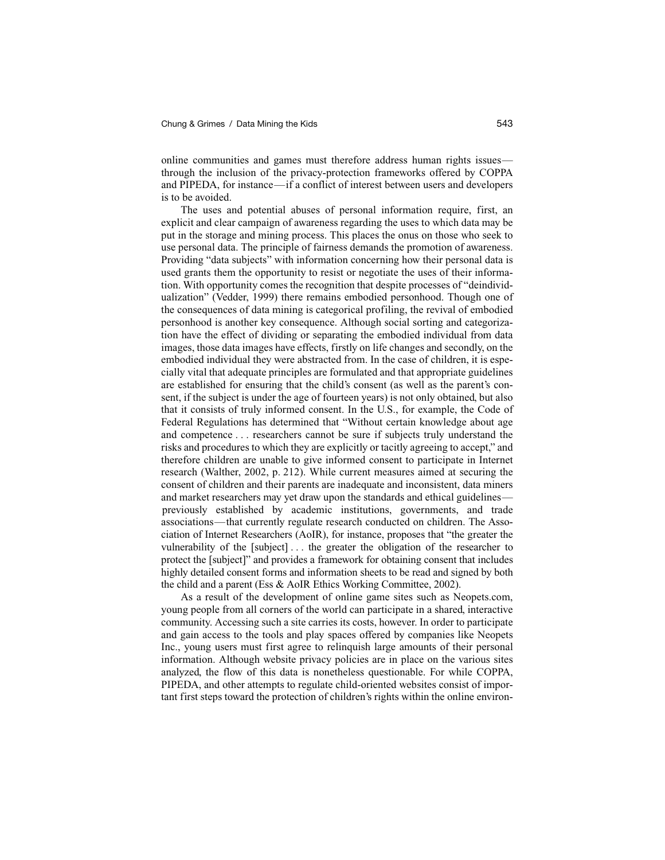online communities and games must therefore address human rights issues through the inclusion of the privacy-protection frameworks offered by COPPA and PIPEDA, for instance—if a conflict of interest between users and developers is to be avoided.

The uses and potential abuses of personal information require, first, an explicit and clear campaign of awareness regarding the uses to which data may be put in the storage and mining process. This places the onus on those who seek to use personal data. The principle of fairness demands the promotion of awareness. Providing "data subjects" with information concerning how their personal data is used grants them the opportunity to resist or negotiate the uses of their information. With opportunity comes the recognition that despite processes of "deindividualization" (Vedder, 1999) there remains embodied personhood. Though one of the consequences of data mining is categorical profiling, the revival of embodied personhood is another key consequence. Although social sorting and categorization have the effect of dividing or separating the embodied individual from data images, those data images have effects, firstly on life changes and secondly, on the embodied individual they were abstracted from. In the case of children, it is especially vital that adequate principles are formulated and that appropriate guidelines are established for ensuring that the child's consent (as well as the parent's consent, if the subject is under the age of fourteen years) is not only obtained, but also that it consists of truly informed consent. In the U.S., for example, the Code of Federal Regulations has determined that "Without certain knowledge about age and competence . . . researchers cannot be sure if subjects truly understand the risks and procedures to which they are explicitly or tacitly agreeing to accept," and therefore children are unable to give informed consent to participate in Internet research (Walther, 2002, p. 212). While current measures aimed at securing the consent of children and their parents are inadequate and inconsistent, data miners and market researchers may yet draw upon the standards and ethical guidelines previously established by academic institutions, governments, and trade associations—that currently regulate research conducted on children. The Association of Internet Researchers (AoIR), for instance, proposes that "the greater the vulnerability of the [subject] . . . the greater the obligation of the researcher to protect the [subject]" and provides a framework for obtaining consent that includes highly detailed consent forms and information sheets to be read and signed by both the child and a parent (Ess & AoIR Ethics Working Committee, 2002).

As a result of the development of online game sites such as Neopets.com, young people from all corners of the world can participate in a shared, interactive community. Accessing such a site carries its costs, however. In order to participate and gain access to the tools and play spaces offered by companies like Neopets Inc., young users must first agree to relinquish large amounts of their personal information. Although website privacy policies are in place on the various sites analyzed, the flow of this data is nonetheless questionable. For while COPPA, PIPEDA, and other attempts to regulate child-oriented websites consist of important first steps toward the protection of children's rights within the online environ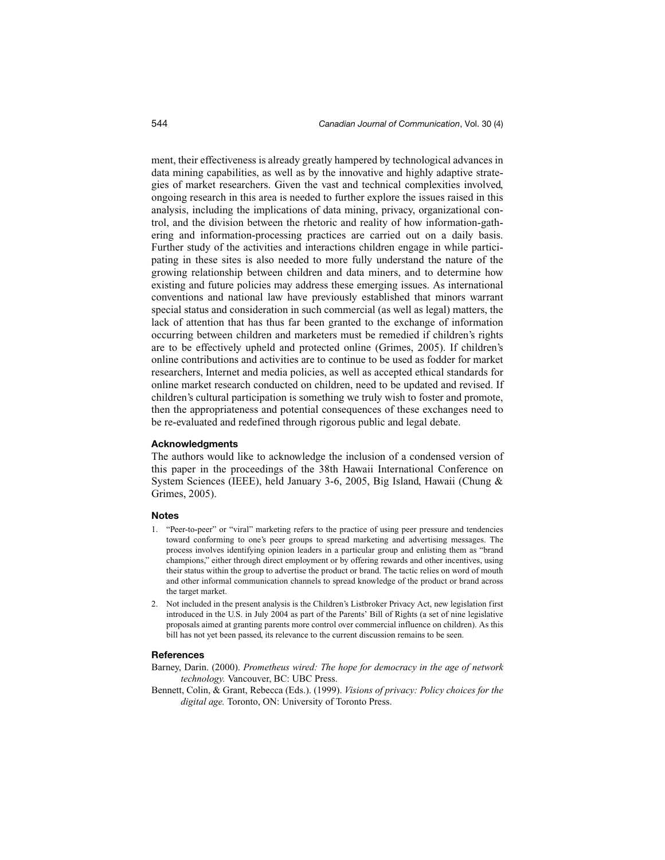ment, their effectiveness is already greatly hampered by technological advances in data mining capabilities, as well as by the innovative and highly adaptive strategies of market researchers. Given the vast and technical complexities involved, ongoing research in this area is needed to further explore the issues raised in this analysis, including the implications of data mining, privacy, organizational control, and the division between the rhetoric and reality of how information-gathering and information-processing practices are carried out on a daily basis. Further study of the activities and interactions children engage in while participating in these sites is also needed to more fully understand the nature of the growing relationship between children and data miners, and to determine how existing and future policies may address these emerging issues. As international conventions and national law have previously established that minors warrant special status and consideration in such commercial (as well as legal) matters, the lack of attention that has thus far been granted to the exchange of information occurring between children and marketers must be remedied if children's rights are to be effectively upheld and protected online (Grimes, 2005). If children's online contributions and activities are to continue to be used as fodder for market researchers, Internet and media policies, as well as accepted ethical standards for online market research conducted on children, need to be updated and revised. If children's cultural participation is something we truly wish to foster and promote, then the appropriateness and potential consequences of these exchanges need to be re-evaluated and redefined through rigorous public and legal debate.

#### **Acknowledgments**

The authors would like to acknowledge the inclusion of a condensed version of this paper in the proceedings of the 38th Hawaii International Conference on System Sciences (IEEE), held January 3-6, 2005, Big Island, Hawaii (Chung & Grimes, 2005).

#### **Notes**

- 1. "Peer-to-peer" or "viral" marketing refers to the practice of using peer pressure and tendencies toward conforming to one's peer groups to spread marketing and advertising messages. The process involves identifying opinion leaders in a particular group and enlisting them as "brand champions," either through direct employment or by offering rewards and other incentives, using their status within the group to advertise the product or brand. The tactic relies on word of mouth and other informal communication channels to spread knowledge of the product or brand across the target market.
- 2. Not included in the present analysis is the Children's Listbroker Privacy Act, new legislation first introduced in the U.S. in July 2004 as part of the Parents' Bill of Rights (a set of nine legislative proposals aimed at granting parents more control over commercial influence on children). As this bill has not yet been passed, its relevance to the current discussion remains to be seen.

#### **References**

- Barney, Darin. (2000). *Prometheus wired: The hope for democracy in the age of network technology.* Vancouver, BC: UBC Press.
- Bennett, Colin, & Grant, Rebecca (Eds.). (1999). *Visions of privacy: Policy choices for the digital age.* Toronto, ON: University of Toronto Press.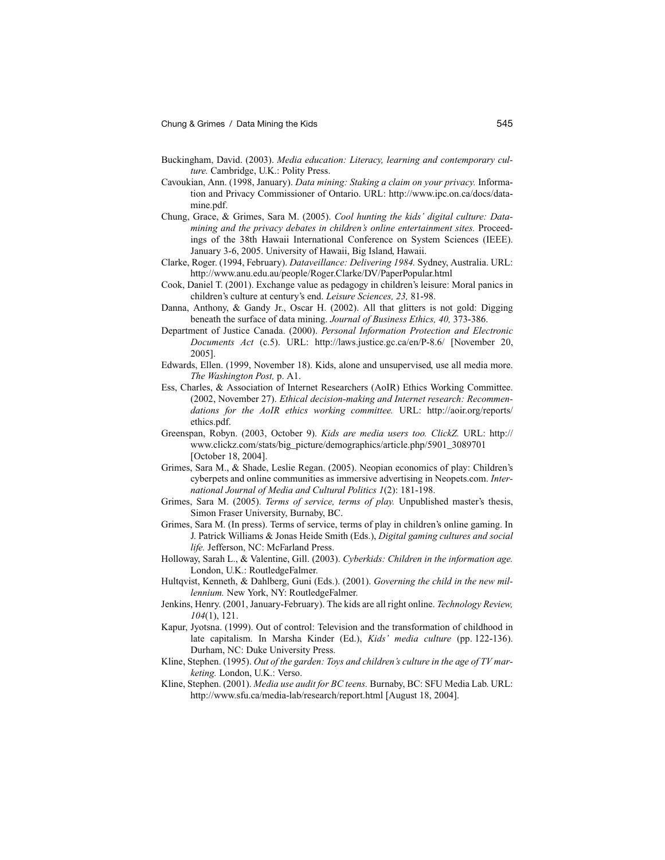- Buckingham, David. (2003). *Media education: Literacy, learning and contemporary culture.* Cambridge, U.K.: Polity Press.
- Cavoukian, Ann. (1998, January). *Data mining: Staking a claim on your privacy.* Information and Privacy Commissioner of Ontario. URL: http://www.ipc.on.ca/docs/datamine.pdf.
- Chung, Grace, & Grimes, Sara M. (2005). *Cool hunting the kids' digital culture: Datamining and the privacy debates in children's online entertainment sites.* Proceedings of the 38th Hawaii International Conference on System Sciences (IEEE). January 3-6, 2005. University of Hawaii, Big Island, Hawaii.
- Clarke, Roger. (1994, February). *Dataveillance: Delivering 1984.* Sydney, Australia. URL: http://www.anu.edu.au/people/Roger.Clarke/DV/PaperPopular.html
- Cook, Daniel T. (2001). Exchange value as pedagogy in children's leisure: Moral panics in children's culture at century's end. *Leisure Sciences, 23,* 81-98.
- Danna, Anthony, & Gandy Jr., Oscar H. (2002). All that glitters is not gold: Digging beneath the surface of data mining. *Journal of Business Ethics, 40,* 373-386.
- Department of Justice Canada. (2000). *Personal Information Protection and Electronic Documents Act* (c.5). URL: http://laws.justice.gc.ca/en/P-8.6/ [November 20, 2005].
- Edwards, Ellen. (1999, November 18). Kids, alone and unsupervised, use all media more. *The Washington Post,* p. A1.
- Ess, Charles, & Association of Internet Researchers (AoIR) Ethics Working Committee. (2002, November 27). *Ethical decision-making and Internet research: Recommendations for the AoIR ethics working committee.* URL: http://aoir.org/reports/ ethics.pdf.
- Greenspan, Robyn. (2003, October 9). *Kids are media users too. ClickZ.* URL: http:// www.clickz.com/stats/big\_picture/demographics/article.php/5901\_3089701 [October 18, 2004].
- Grimes, Sara M., & Shade, Leslie Regan. (2005). Neopian economics of play: Children's cyberpets and online communities as immersive advertising in Neopets.com. *International Journal of Media and Cultural Politics 1*(2): 181-198.
- Grimes, Sara M. (2005). *Terms of service, terms of play.* Unpublished master's thesis, Simon Fraser University, Burnaby, BC.
- Grimes, Sara M. (In press). Terms of service, terms of play in children's online gaming. In J. Patrick Williams & Jonas Heide Smith (Eds.), *Digital gaming cultures and social life.* Jefferson, NC: McFarland Press.
- Holloway, Sarah L., & Valentine, Gill. (2003). *Cyberkids: Children in the information age.* London, U.K.: RoutledgeFalmer.
- Hultqvist, Kenneth, & Dahlberg, Guni (Eds.). (2001). *Governing the child in the new millennium.* New York, NY: RoutledgeFalmer.
- Jenkins, Henry. (2001, January-February). The kids are all right online. *Technology Review, 104*(1), 121.
- Kapur, Jyotsna. (1999). Out of control: Television and the transformation of childhood in late capitalism. In Marsha Kinder (Ed.), *Kids' media culture* (pp. 122-136). Durham, NC: Duke University Press.
- Kline, Stephen. (1995). *Out of the garden: Toys and children's culture in the age of TV marketing.* London, U.K.: Verso.
- Kline, Stephen. (2001). *Media use audit for BC teens.* Burnaby, BC: SFU Media Lab. URL: http://www.sfu.ca/media-lab/research/report.html [August 18, 2004].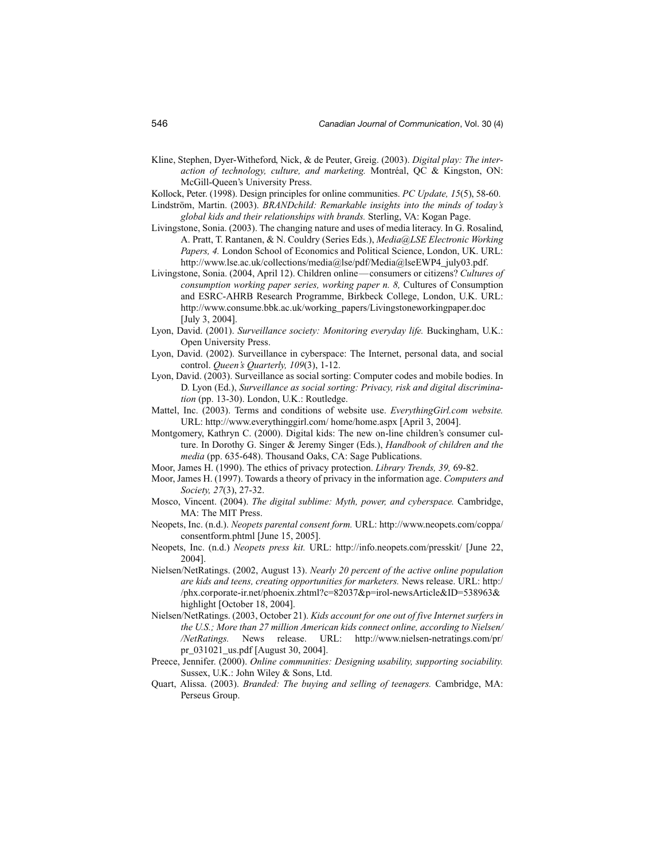Kline, Stephen, Dyer-Witheford, Nick, & de Peuter, Greig. (2003). *Digital play: The interaction of technology, culture, and marketing.* Montréal, QC & Kingston, ON: McGill-Queen's University Press.

Kollock, Peter. (1998). Design principles for online communities. *PC Update, 15*(5), 58-60.

- Lindström, Martin. (2003). *BRANDchild: Remarkable insights into the minds of today's global kids and their relationships with brands.* Sterling, VA: Kogan Page.
- Livingstone, Sonia. (2003). The changing nature and uses of media literacy. In G. Rosalind, A. Pratt, T. Rantanen, & N. Couldry (Series Eds.), *Media@LSE Electronic Working Papers, 4.* London School of Economics and Political Science, London, UK. URL: http://www.lse.ac.uk/collections/media@lse/pdf/Media@lseEWP4\_july03.pdf.
- Livingstone, Sonia. (2004, April 12). Children online—consumers or citizens? *Cultures of consumption working paper series, working paper n. 8,* Cultures of Consumption and ESRC-AHRB Research Programme, Birkbeck College, London, U.K. URL: http://www.consume.bbk.ac.uk/working\_papers/Livingstoneworkingpaper.doc [July 3, 2004].
- Lyon, David. (2001). *Surveillance society: Monitoring everyday life.* Buckingham, U.K.: Open University Press.
- Lyon, David. (2002). Surveillance in cyberspace: The Internet, personal data, and social control. *Queen's Quarterly, 109*(3), 1-12.
- Lyon, David. (2003). Surveillance as social sorting: Computer codes and mobile bodies. In D. Lyon (Ed.), *Surveillance as social sorting: Privacy, risk and digital discrimination* (pp. 13-30). London, U.K.: Routledge.
- Mattel, Inc. (2003). Terms and conditions of website use. *EverythingGirl.com website.* URL: http://www.everythinggirl.com/ home/home.aspx [April 3, 2004].
- Montgomery, Kathryn C. (2000). Digital kids: The new on-line children's consumer culture. In Dorothy G. Singer & Jeremy Singer (Eds.), *Handbook of children and the media* (pp. 635-648). Thousand Oaks, CA: Sage Publications.
- Moor, James H. (1990). The ethics of privacy protection. *Library Trends, 39,* 69-82.
- Moor, James H. (1997). Towards a theory of privacy in the information age. *Computers and Society, 27*(3), 27-32.
- Mosco, Vincent. (2004). *The digital sublime: Myth, power, and cyberspace.* Cambridge, MA: The MIT Press.
- Neopets, Inc. (n.d.). *Neopets parental consent form.* URL: http://www.neopets.com/coppa/ consentform.phtml [June 15, 2005].
- Neopets, Inc. (n.d.) *Neopets press kit.* URL: http://info.neopets.com/presskit/ [June 22, 2004].
- Nielsen/NetRatings. (2002, August 13). *Nearly 20 percent of the active online population are kids and teens, creating opportunities for marketers.* News release. URL: http:/ /phx.corporate-ir.net/phoenix.zhtml?c=82037&p=irol-newsArticle&ID=538963& highlight [October 18, 2004].
- Nielsen/NetRatings. (2003, October 21). *Kids account for one out of five Internet surfers in the U.S.; More than 27 million American kids connect online, according to Nielsen/ /NetRatings.* News release. URL: http://www.nielsen-netratings.com/pr/ pr\_031021\_us.pdf [August 30, 2004].
- Preece, Jennifer. (2000). *Online communities: Designing usability, supporting sociability.* Sussex, U.K.: John Wiley & Sons, Ltd.
- Quart, Alissa. (2003). *Branded: The buying and selling of teenagers.* Cambridge, MA: Perseus Group.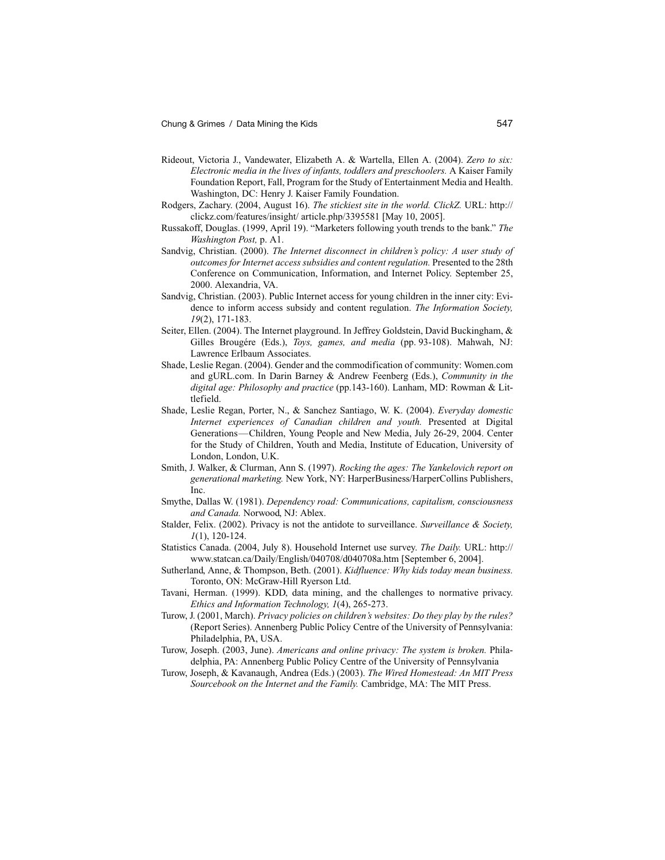- Rideout, Victoria J., Vandewater, Elizabeth A. & Wartella, Ellen A. (2004). *Zero to six: Electronic media in the lives of infants, toddlers and preschoolers.* A Kaiser Family Foundation Report, Fall, Program for the Study of Entertainment Media and Health. Washington, DC: Henry J. Kaiser Family Foundation.
- Rodgers, Zachary. (2004, August 16). *The stickiest site in the world. ClickZ.* URL: http:// clickz.com/features/insight/ article.php/3395581 [May 10, 2005].
- Russakoff, Douglas. (1999, April 19). "Marketers following youth trends to the bank." *The Washington Post,* p. A1.
- Sandvig, Christian. (2000). *The Internet disconnect in children's policy: A user study of outcomes for Internet access subsidies and content regulation.* Presented to the 28th Conference on Communication, Information, and Internet Policy. September 25, 2000. Alexandria, VA.
- Sandvig, Christian. (2003). Public Internet access for young children in the inner city: Evidence to inform access subsidy and content regulation. *The Information Society, 19*(2), 171-183.
- Seiter, Ellen. (2004). The Internet playground. In Jeffrey Goldstein, David Buckingham, & Gilles Brougére (Eds.), *Toys, games, and media* (pp. 93-108). Mahwah, NJ: Lawrence Erlbaum Associates.
- Shade, Leslie Regan. (2004). Gender and the commodification of community: Women.com and gURL.com. In Darin Barney & Andrew Feenberg (Eds.), *Community in the digital age: Philosophy and practice* (pp.143-160). Lanham, MD: Rowman & Littlefield.
- Shade, Leslie Regan, Porter, N., & Sanchez Santiago, W. K. (2004). *Everyday domestic Internet experiences of Canadian children and youth.* Presented at Digital Generations—Children, Young People and New Media, July 26-29, 2004. Center for the Study of Children, Youth and Media, Institute of Education, University of London, London, U.K.
- Smith, J. Walker, & Clurman, Ann S. (1997). *Rocking the ages: The Yankelovich report on generational marketing.* New York, NY: HarperBusiness/HarperCollins Publishers, Inc.
- Smythe, Dallas W. (1981). *Dependency road: Communications, capitalism, consciousness and Canada.* Norwood, NJ: Ablex.
- Stalder, Felix. (2002). Privacy is not the antidote to surveillance. *Surveillance & Society, 1*(1), 120-124.
- Statistics Canada. (2004, July 8). Household Internet use survey. *The Daily.* URL: http:// www.statcan.ca/Daily/English/040708/d040708a.htm [September 6, 2004].
- Sutherland, Anne, & Thompson, Beth. (2001). *Kidfluence: Why kids today mean business.* Toronto, ON: McGraw-Hill Ryerson Ltd.
- Tavani, Herman. (1999). KDD, data mining, and the challenges to normative privacy. *Ethics and Information Technology, 1*(4), 265-273.
- Turow, J. (2001, March). *Privacy policies on children's websites: Do they play by the rules?* (Report Series). Annenberg Public Policy Centre of the University of Pennsylvania: Philadelphia, PA, USA.
- Turow, Joseph. (2003, June). *Americans and online privacy: The system is broken.* Philadelphia, PA: Annenberg Public Policy Centre of the University of Pennsylvania
- Turow, Joseph, & Kavanaugh, Andrea (Eds.) (2003). *The Wired Homestead: An MIT Press Sourcebook on the Internet and the Family.* Cambridge, MA: The MIT Press.